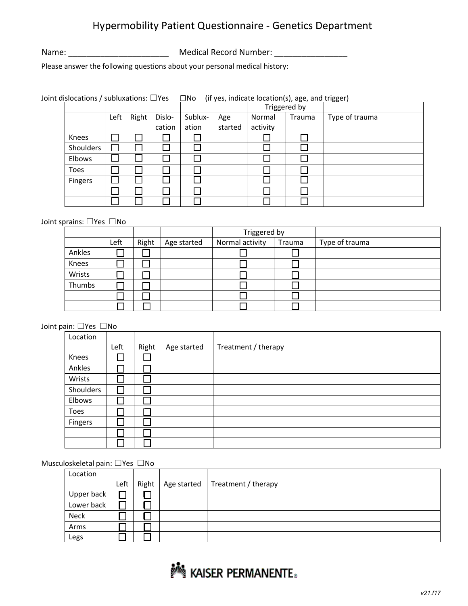## Hypermobility Patient Questionnaire - Genetics Department

Name: \_\_\_\_\_\_\_\_\_\_\_\_\_\_\_\_\_\_\_\_\_\_ Medical Record Number: \_\_\_\_\_\_\_\_\_\_\_\_\_\_\_\_

Please answer the following questions about your personal medical history:

Joint dislocations / subluxations: □Yes □No (if yes, indicate location(s), age, and trigger)

|           |      |       |        |         |         | Triggered by |        |                |
|-----------|------|-------|--------|---------|---------|--------------|--------|----------------|
|           | Left | Right | Dislo- | Sublux- | Age     | Normal       | Trauma | Type of trauma |
|           |      |       | cation | ation   | started | activity     |        |                |
| Knees     |      |       |        |         |         |              |        |                |
| Shoulders |      |       |        |         |         |              |        |                |
| Elbows    |      |       |        |         |         |              |        |                |
| Toes      |      |       |        |         |         |              |        |                |
| Fingers   |      |       |        |         |         |              |        |                |
|           |      |       |        |         |         |              |        |                |
|           |      |       |        |         |         |              |        |                |

Joint sprains: ☐Yes ☐No

|        |      |       |             | Triggered by    |        |                |
|--------|------|-------|-------------|-----------------|--------|----------------|
|        | Left | Right | Age started | Normal activity | Trauma | Type of trauma |
| Ankles |      |       |             |                 |        |                |
| Knees  |      |       |             |                 |        |                |
| Wrists |      |       |             |                 |        |                |
| Thumbs |      |       |             |                 |        |                |
|        |      |       |             |                 |        |                |
|        |      |       |             |                 |        |                |

Joint pain: ☐Yes ☐No

| Location  |      |       |             |                     |
|-----------|------|-------|-------------|---------------------|
|           | Left | Right | Age started | Treatment / therapy |
| Knees     |      |       |             |                     |
| Ankles    |      |       |             |                     |
| Wrists    |      |       |             |                     |
| Shoulders |      |       |             |                     |
| Elbows    |      |       |             |                     |
| Toes      |      |       |             |                     |
| Fingers   |      |       |             |                     |
|           |      |       |             |                     |
|           |      |       |             |                     |

## Musculoskeletal pain: ☐Yes ☐No

| Location    |      |       |             |                     |
|-------------|------|-------|-------------|---------------------|
|             | Left | Right | Age started | Treatment / therapy |
| Upper back  |      |       |             |                     |
| Lower back  |      |       |             |                     |
| <b>Neck</b> |      |       |             |                     |
| Arms        |      |       |             |                     |
| Legs        |      |       |             |                     |